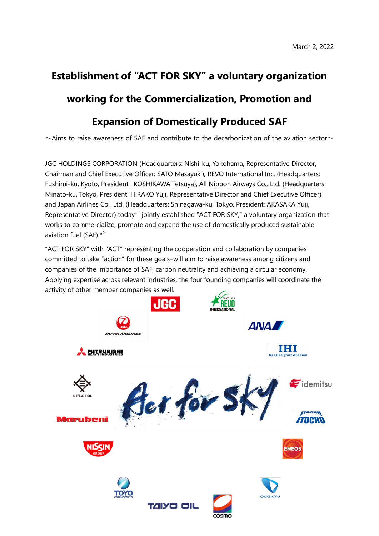# **Establishment of "ACT FOR SKY" a voluntary organization working for the Commercialization, Promotion and**

# **Expansion of Domestically Produced SAF**

 $\sim$ Aims to raise awareness of SAF and contribute to the decarbonization of the aviation sector $\sim$ 

JGC HOLDINGS CORPORATION (Headquarters: Nishi-ku, Yokohama, Representative Director, Chairman and Chief Executive Officer: SATO Masayuki), REVO International Inc. (Headquarters: Fushimi-ku, Kyoto, President : KOSHIKAWA Tetsuya), All Nippon Airways Co., Ltd. (Headquarters: Minato-ku, Tokyo, President: HIRAKO Yuji, Representative Director and Chief Executive Officer) and Japan Airlines Co., Ltd. (Headquarters: Shinagawa-ku, Tokyo, President: AKASAKA Yuji, Representative Director) today\*<sup>1</sup> jointly established "ACT FOR SKY," a voluntary organization that works to commercialize, promote and expand the use of domestically produced sustainable aviation fuel  $(SAF)$ <sup> $*2$ </sup>

"ACT FOR SKY" with "ACT" representing the cooperation and collaboration by companies committed to take "action" for these goals–will aim to raise awareness among citizens and companies of the importance of SAF, carbon neutrality and achieving a circular economy. Applying expertise across relevant industries, the four founding companies will coordinate the activity of other member companies as well.

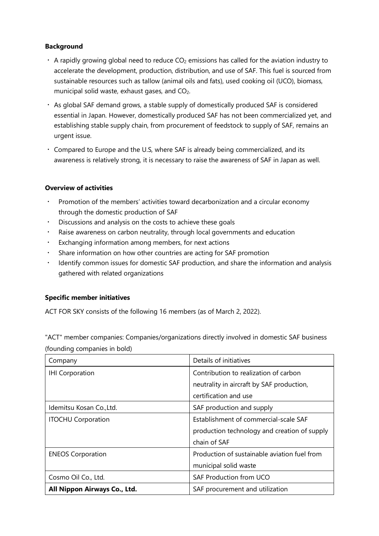## **Background**

- $\cdot$  A rapidly growing global need to reduce CO<sub>2</sub> emissions has called for the aviation industry to accelerate the development, production, distribution, and use of SAF. This fuel is sourced from sustainable resources such as tallow (animal oils and fats), used cooking oil (UCO), biomass, municipal solid waste, exhaust gases, and CO<sub>2</sub>.
- ・ As global SAF demand grows, a stable supply of domestically produced SAF is considered essential in Japan. However, domestically produced SAF has not been commercialized yet, and establishing stable supply chain, from procurement of feedstock to supply of SAF, remains an urgent issue.
- ・ Compared to Europe and the U.S, where SAF is already being commercialized, and its awareness is relatively strong, it is necessary to raise the awareness of SAF in Japan as well.

#### **Overview of activities**

- ・ Promotion of the members' activities toward decarbonization and a circular economy through the domestic production of SAF
- Discussions and analysis on the costs to achieve these goals
- ・ Raise awareness on carbon neutrality, through local governments and education
- Exchanging information among members, for next actions
- Share information on how other countries are acting for SAF promotion
- ・ Identify common issues for domestic SAF production, and share the information and analysis gathered with related organizations

## **Specific member initiatives**

ACT FOR SKY consists of the following 16 members (as of March 2, 2022).

"ACT" member companies: Companies/organizations directly involved in domestic SAF business (founding companies in bold)

| Company                      | Details of initiatives                       |
|------------------------------|----------------------------------------------|
| <b>IHI Corporation</b>       | Contribution to realization of carbon        |
|                              | neutrality in aircraft by SAF production,    |
|                              | certification and use                        |
| Idemitsu Kosan Co., Ltd.     | SAF production and supply                    |
| <b>ITOCHU Corporation</b>    | Establishment of commercial-scale SAF        |
|                              | production technology and creation of supply |
|                              | chain of SAF                                 |
| <b>ENEOS Corporation</b>     | Production of sustainable aviation fuel from |
|                              | municipal solid waste                        |
| Cosmo Oil Co., Ltd.          | <b>SAF Production from UCO</b>               |
| All Nippon Airways Co., Ltd. | SAF procurement and utilization              |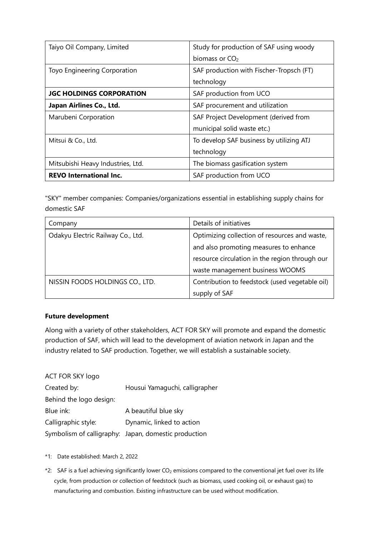| Taiyo Oil Company, Limited        | Study for production of SAF using woody  |
|-----------------------------------|------------------------------------------|
|                                   | biomass or CO <sub>2</sub>               |
| Toyo Engineering Corporation      | SAF production with Fischer-Tropsch (FT) |
|                                   | technology                               |
| <b>JGC HOLDINGS CORPORATION</b>   | SAF production from UCO                  |
| Japan Airlines Co., Ltd.          | SAF procurement and utilization          |
| Marubeni Corporation              | SAF Project Development (derived from    |
|                                   | municipal solid waste etc.)              |
| Mitsui & Co., Ltd.                | To develop SAF business by utilizing ATJ |
|                                   | technology                               |
| Mitsubishi Heavy Industries, Ltd. | The biomass gasification system          |
| <b>REVO International Inc.</b>    | SAF production from UCO                  |

"SKY" member companies: Companies/organizations essential in establishing supply chains for domestic SAF

| Company                           | Details of initiatives                         |
|-----------------------------------|------------------------------------------------|
| Odakyu Electric Railway Co., Ltd. | Optimizing collection of resources and waste,  |
|                                   | and also promoting measures to enhance         |
|                                   | resource circulation in the region through our |
|                                   | waste management business WOOMS                |
| NISSIN FOODS HOLDINGS CO., LTD.   | Contribution to feedstock (used vegetable oil) |
|                                   | supply of SAF                                  |

#### **Future development**

Along with a variety of other stakeholders, ACT FOR SKY will promote and expand the domestic production of SAF, which will lead to the development of aviation network in Japan and the industry related to SAF production. Together, we will establish a sustainable society.

#### ACT FOR SKY logo

| Housui Yamaguchi, calligrapher                       |
|------------------------------------------------------|
|                                                      |
| A beautiful blue sky                                 |
| Dynamic, linked to action                            |
| Symbolism of calligraphy: Japan, domestic production |
|                                                      |

\*1: Date established: March 2, 2022

\*2: SAF is a fuel achieving significantly lower CO<sub>2</sub> emissions compared to the conventional jet fuel over its life cycle, from production or collection of feedstock (such as biomass, used cooking oil, or exhaust gas) to manufacturing and combustion. Existing infrastructure can be used without modification.